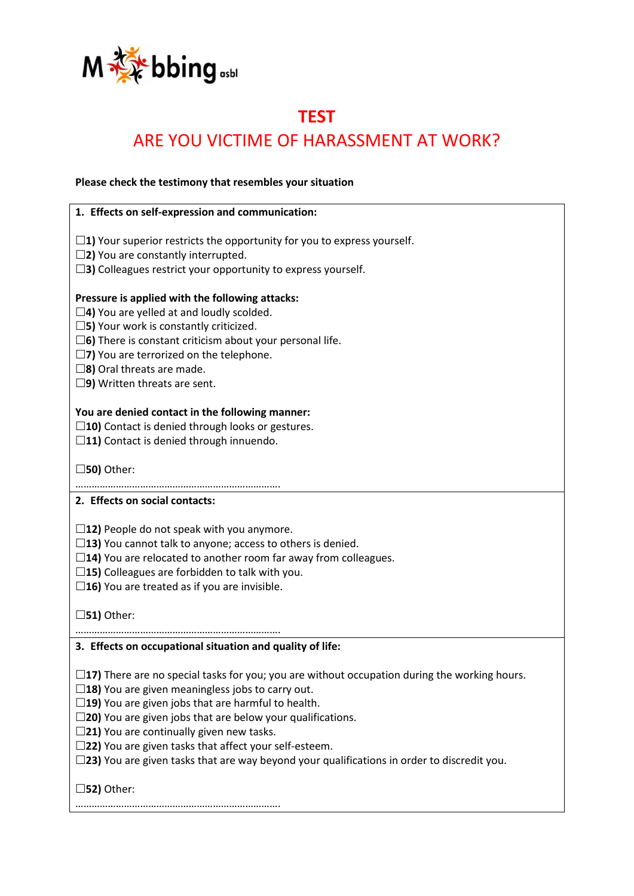

## **TEST** ARE YOU VICTIME OF HARASSMENT AT WORK?

**Please check the testimony that resembles your situation**

| 1. Effects on self-expression and communication:                                                     |
|------------------------------------------------------------------------------------------------------|
|                                                                                                      |
| $\square$ 1) Your superior restricts the opportunity for you to express yourself.                    |
| $\square$ 2) You are constantly interrupted.                                                         |
| $\square$ 3) Colleagues restrict your opportunity to express yourself.                               |
| Pressure is applied with the following attacks:                                                      |
| $\square$ 4) You are yelled at and loudly scolded.                                                   |
| $\square$ 5) Your work is constantly criticized.                                                     |
| $\square$ 6) There is constant criticism about your personal life.                                   |
| $\square$ 7) You are terrorized on the telephone.                                                    |
|                                                                                                      |
| $\square$ 8) Oral threats are made.                                                                  |
| $\square$ 9) Written threats are sent.                                                               |
| You are denied contact in the following manner:                                                      |
| $\square$ 10) Contact is denied through looks or gestures.                                           |
| $\square$ 11) Contact is denied through innuendo.                                                    |
|                                                                                                      |
| $\square$ 50) Other:                                                                                 |
|                                                                                                      |
| 2. Effects on social contacts:                                                                       |
|                                                                                                      |
| $\square$ 12) People do not speak with you anymore.                                                  |
| $\square$ 13) You cannot talk to anyone; access to others is denied.                                 |
| $\Box$ 14) You are relocated to another room far away from colleagues.                               |
| $\square$ 15) Colleagues are forbidden to talk with you.                                             |
| $\square$ 16) You are treated as if you are invisible.                                               |
|                                                                                                      |
| $\square$ 51) Other:                                                                                 |
|                                                                                                      |
| 3. Effects on occupational situation and quality of life:                                            |
|                                                                                                      |
| $\Box$ 17) There are no special tasks for you; you are without occupation during the working hours.  |
| $\square$ 18) You are given meaningless jobs to carry out.                                           |
| $\square$ 19) You are given jobs that are harmful to health.                                         |
| $\square$ 20) You are given jobs that are below your qualifications.                                 |
| $\square$ 21) You are continually given new tasks.                                                   |
| $\square$ 22) You are given tasks that affect your self-esteem.                                      |
| $\square$ 23) You are given tasks that are way beyond your qualifications in order to discredit you. |
|                                                                                                      |
| $\square$ 52) Other:                                                                                 |
|                                                                                                      |
|                                                                                                      |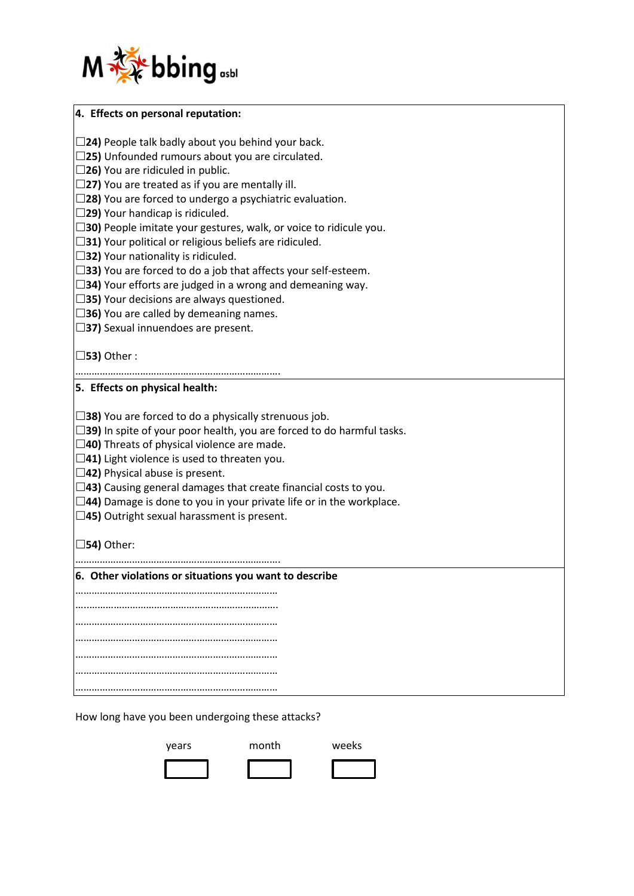

| 4. Effects on personal reputation:                                           |
|------------------------------------------------------------------------------|
| $\Box$ 24) People talk badly about you behind your back.                     |
| $\Box$ 25) Unfounded rumours about you are circulated.                       |
| $\Box$ 26) You are ridiculed in public.                                      |
| $\Box$ 27) You are treated as if you are mentally ill.                       |
| $\Box$ 28) You are forced to undergo a psychiatric evaluation.               |
| $\Box$ 29) Your handicap is ridiculed.                                       |
| $\Box$ 30) People imitate your gestures, walk, or voice to ridicule you.     |
| $\Box$ 31) Your political or religious beliefs are ridiculed.                |
| $\Box$ 32) Your nationality is ridiculed.                                    |
| $\Box$ 33) You are forced to do a job that affects your self-esteem.         |
| $\Box$ 34) Your efforts are judged in a wrong and demeaning way.             |
| $\Box$ 35) Your decisions are always questioned.                             |
| $\Box$ 36) You are called by demeaning names.                                |
| $\Box$ 37) Sexual innuendoes are present.                                    |
|                                                                              |
| $\Box$ 53) Other:                                                            |
|                                                                              |
| 5. Effects on physical health:                                               |
|                                                                              |
| $\Box$ 38) You are forced to do a physically strenuous job.                  |
| $\Box$ 39) In spite of your poor health, you are forced to do harmful tasks. |
| $\Box$ 40) Threats of physical violence are made.                            |
| $\Box$ 41) Light violence is used to threaten you.                           |
| $\Box$ 42) Physical abuse is present.                                        |
| $\Box$ 43) Causing general damages that create financial costs to you.       |
| $\Box$ 44) Damage is done to you in your private life or in the workplace.   |
| $\Box$ 45) Outright sexual harassment is present.                            |
|                                                                              |
| $\Box$ 54) Other:                                                            |
|                                                                              |
| 6. Other violations or situations you want to describe                       |
|                                                                              |
|                                                                              |
|                                                                              |
|                                                                              |
|                                                                              |
|                                                                              |
|                                                                              |
|                                                                              |
| How long have you been undergoing these attacks?                             |
|                                                                              |

years month weeks